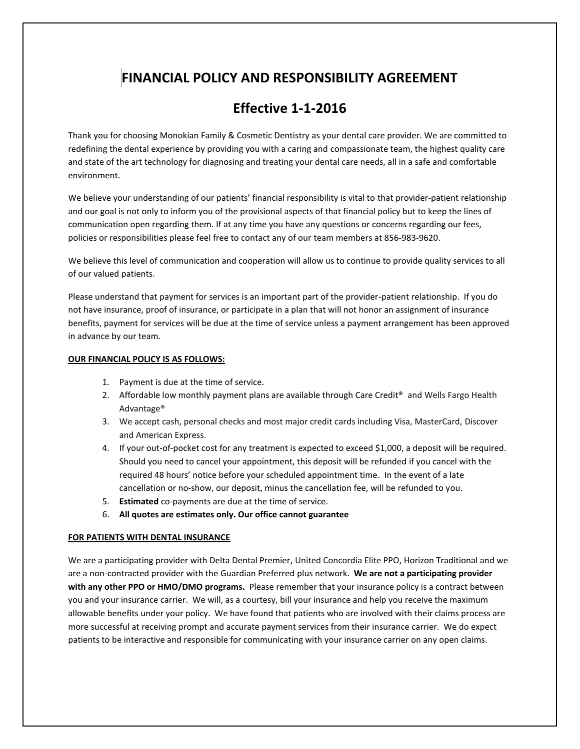# **FINANCIAL POLICY AND RESPONSIBILITY AGREEMENT**

## **Effective 1-1-2016**

Thank you for choosing Monokian Family & Cosmetic Dentistry as your dental care provider. We are committed to redefining the dental experience by providing you with a caring and compassionate team, the highest quality care and state of the art technology for diagnosing and treating your dental care needs, all in a safe and comfortable environment.

We believe your understanding of our patients' financial responsibility is vital to that provider-patient relationship and our goal is not only to inform you of the provisional aspects of that financial policy but to keep the lines of communication open regarding them. If at any time you have any questions or concerns regarding our fees, policies or responsibilities please feel free to contact any of our team members at 856-983-9620.

We believe this level of communication and cooperation will allow us to continue to provide quality services to all of our valued patients.

Please understand that payment for services is an important part of the provider-patient relationship. If you do not have insurance, proof of insurance, or participate in a plan that will not honor an assignment of insurance benefits, payment for services will be due at the time of service unless a payment arrangement has been approved in advance by our team.

#### **OUR FINANCIAL POLICY IS AS FOLLOWS:**

- 1. Payment is due at the time of service.
- 2. Affordable low monthly payment plans are available through Care Credit<sup>®</sup> and Wells Fargo Health Advantage®
- 3. We accept cash, personal checks and most major credit cards including Visa, MasterCard, Discover and American Express.
- 4. If your out-of-pocket cost for any treatment is expected to exceed \$1,000, a deposit will be required. Should you need to cancel your appointment, this deposit will be refunded if you cancel with the required 48 hours' notice before your scheduled appointment time. In the event of a late cancellation or no-show, our deposit, minus the cancellation fee, will be refunded to you.
- 5. **Estimated** co-payments are due at the time of service.
- 6. **All quotes are estimates only. Our office cannot guarantee**

#### **FOR PATIENTS WITH DENTAL INSURANCE**

We are a participating provider with Delta Dental Premier, United Concordia Elite PPO, Horizon Traditional and we are a non-contracted provider with the Guardian Preferred plus network. **We are not a participating provider with any other PPO or HMO/DMO programs.** Please remember that your insurance policy is a contract between you and your insurance carrier. We will, as a courtesy, bill your insurance and help you receive the maximum allowable benefits under your policy. We have found that patients who are involved with their claims process are more successful at receiving prompt and accurate payment services from their insurance carrier. We do expect patients to be interactive and responsible for communicating with your insurance carrier on any open claims.